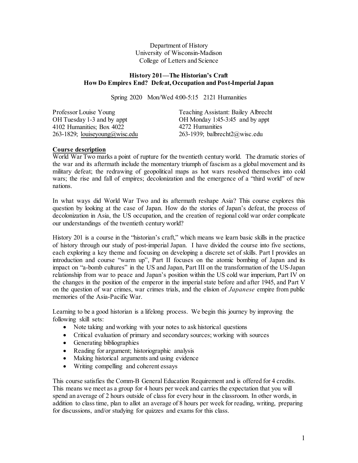Department of History University of Wisconsin-Madison College of Letters and Science

#### **History 201—The Historian's Craft How Do Empires End? Defeat, Occupation and Post-Imperial Japan**

Spring 2020 Mon/Wed 4:00-5:15 2121 Humanities

| Teaching Assistant: Bailey Albrecht |
|-------------------------------------|
| OH Monday 1:45-3:45 and by appt     |
| 4272 Humanities                     |
| 263-1939; balbrecht $2@$ wisc.edu   |
|                                     |

## **Course description**

World War Two marks a point of rupture for the twentieth century world. The dramatic stories of the war and its aftermath include the momentary triumph of fascism as a global movement and its military defeat; the redrawing of geopolitical maps as hot wars resolved themselves into cold wars; the rise and fall of empires; decolonization and the emergence of a "third world" of new nations.

In what ways did World War Two and its aftermath reshape Asia? This course explores this question by looking at the case of Japan. How do the stories of Japan's defeat, the process of decolonization in Asia, the US occupation, and the creation of regional cold war order complicate our understandings of the twentieth century world?

History 201 is a course in the "historian's craft," which means we learn basic skills in the practice of history through our study of post-imperial Japan. I have divided the course into five sections, each exploring a key theme and focusing on developing a discrete set of skills. Part I provides an introduction and course "warm up", Part II focuses on the atomic bombing of Japan and its impact on "a-bomb cultures" in the US and Japan, Part III on the transformation of the US-Japan relationship from war to peace and Japan's position within the US cold war imperium, Part IV on the changes in the position of the emperor in the imperial state before and after 1945, and Part V on the question of war crimes, war crimes trials, and the elision of *Japanese* empire from public memories of the Asia-Pacific War.

Learning to be a good historian is a lifelong process. We begin this journey by improving the following skill sets:

- Note taking and working with your notes to ask historical questions
- Critical evaluation of primary and secondary sources; working with sources
- Generating bibliographies
- Reading for argument; historiographic analysis
- Making historical arguments and using evidence
- Writing compelling and coherent essays

This course satisfies the Comm-B General Education Requirement and is offered for 4 credits. This means we meet as a group for 4 hours per week and carries the expectation that you will spend an average of 2 hours outside of class for every hour in the classroom. In other words, in addition to class time, plan to allot an average of 8 hours per week for reading, writing, preparing for discussions, and/or studying for quizzes and exams for this class.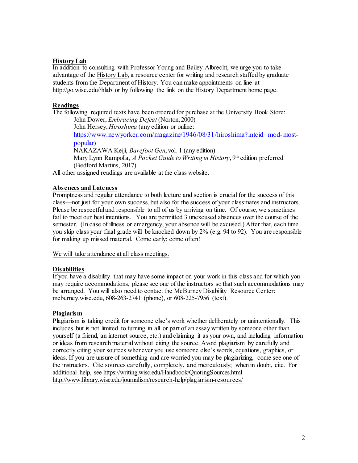## **History Lab**

In addition to consulting with Professor Young and Bailey Albrecht, we urge you to take advantage of the History Lab, a resource center for writing and research staffed by graduate students from the Department of History. You can make appointments on line at http://go.wisc.edu//hlab or by following the link on the History Department home page.

# **Readings**

The following required texts have been ordered for purchase at the University Book Store: John Dower, *Embracing Defeat* (Norton, 2000) John Hersey, *Hiroshima* (any edition or online:

[https://www.newyorker.com/magazine/1946/08/31/hiroshima?intcid=mod-most](https://www.newyorker.com/magazine/1946/08/31/hiroshima?intcid=mod-most-popular)[popular\)](https://www.newyorker.com/magazine/1946/08/31/hiroshima?intcid=mod-most-popular) 

NAKAZAWA Keiji, *Barefoot Gen*, vol. 1 (any edition) Mary Lynn Rampolla, *A Pocket Guide to Writing in History*, 9<sup>th</sup> edition preferred

(Bedford Martins, 2017)

All other assigned readings are available at the class website.

# **Absences and Lateness**

Promptness and regular attendance to both lecture and section is crucial for the success of this class—not just for your own success, but also for the success of your classmates and instructors. Please be respectful and responsible to all of us by arriving on time. Of course, we sometimes fail to meet our best intentions. You are permitted 3 unexcused absences over the course of the semester. (In case of illness or emergency, your absence will be excused.) After that, each time you skip class your final grade will be knocked down by 2% (e.g. 94 to 92). You are responsible for making up missed material. Come early; come often!

We will take attendance at all class meetings.

## **Disabilities**

If you have a disability that may have some impact on your work in this class and for which you may require accommodations, please see one of the instructors so that such accommodations may be arranged. You will also need to contact the McBurney Disability Resource Center: mcburney.wisc.edu, 608-263-2741 (phone), or 608-225-7956 (text).

## **Plagiarism**

Plagiarism is taking credit for someone else's work whether deliberately or unintentionally. This includes but is not limited to turning in all or part of an essay written by someone other than yourself (a friend, an internet source, etc.) and claiming it as your own, and including information or ideas from research materialwithout citing the source. Avoid plagiarism by carefully and correctly citing your sources whenever you use someone else's words, equations, graphics, or ideas. If you are unsure of something and are worried you may be plagiarizing, come see one of the instructors. Cite sources carefully, completely, and meticulously; when in doubt, cite. For additional help, see<https://writing.wisc.edu/Handbook/QuotingSources.html> <http://www.library.wisc.edu/journalism/research-help/plagiarism-resources/>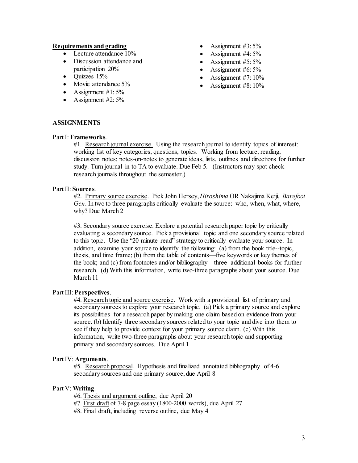#### **Requirements and grading**

- Lecture attendance 10%
- Discussion attendance and participation 20%
- Quizzes 15%
- Movie attendance 5%
- Assignment  $#1: 5\%$
- Assignment  $#2: 5\%$
- Assignment  $#3:5\%$
- Assignment #4: 5%
- Assignment  $#5: 5\%$
- Assignment  $#6:5\%$
- Assignment #7: 10%
- Assignment #8: 10%

# **ASSIGNMENTS**

#### Part I: **Frameworks**.

#1. Research journal exercise. Using the research journal to identify topics of interest: working list of key categories, questions, topics. Working from lecture, reading, discussion notes; notes-on-notes to generate ideas, lists, outlines and directions for further study. Turn journal in to TA to evaluate. Due Feb 5. (Instructors may spot check research journals throughout the semester.)

#### Part II: **Sources**.

#2. Primary source exercise. Pick John Hersey, *Hiroshima* OR Nakajima Keiji, *Barefoot Gen*. In two to three paragraphs critically evaluate the source: who, when, what, where, why? Due March 2

#3. Secondary source exercise. Explore a potential research paper topic by critically evaluating a secondary source. Pick a provisional topic and one secondary source related to this topic. Use the "20 minute read" strategy to critically evaluate your source. In addition, examine your source to identify the following: (a) from the book title--topic, thesis, and time frame; (b) from the table of contents—five keywords or key themes of the book; and (c) from footnotes and/or bibliography—three additional books for further research. (d) With this information, write two-three paragraphs about your source. Due March 11

## Part III: **Perspectives**.

#4. Research topic and source exercise. Work with a provisional list of primary and secondary sources to explore your research topic. (a) Pick a primary source and explore its possibilities for a research paper by making one claim based on evidence from your source. (b) Identify three secondary sources related to your topic and dive into them to see if they help to provide context for your primary source claim. (c) With this information, write two-three paragraphs about your research topic and supporting primary and secondary sources. Due April 1

## Part IV: **Arguments**.

#5. Research proposal. Hypothesis and finalized annotated bibliography of 4-6 secondary sources and one primary source, due April 8

## Part V: **Writing**.

#6. Thesis and argument outline, due April 20

#7. First draft of 7-8 page essay (1800-2000 words), due April 27

#8. Final draft, including reverse outline, due May 4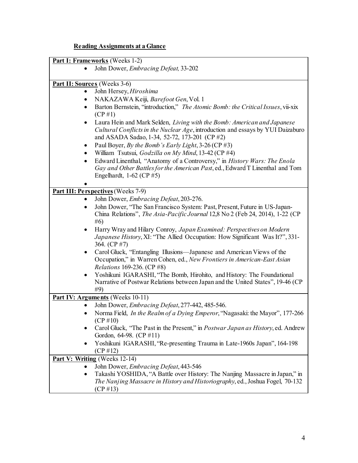# **Reading Assignments at a Glance**

|           | <b>Part I: Frameworks</b> (Weeks 1-2)                                                                        |
|-----------|--------------------------------------------------------------------------------------------------------------|
| $\bullet$ | John Dower, Embracing Defeat, 33-202                                                                         |
|           |                                                                                                              |
|           | Part II: Sources (Weeks 3-6)                                                                                 |
| ٠         | John Hersey, Hiroshima                                                                                       |
| ٠         | NAKAZAWA Keiji, Barefoot Gen, Vol. 1                                                                         |
| $\bullet$ | Barton Bernstein, "introduction," The Atomic Bomb: the Critical Issues, vii-xix                              |
|           | $(CP \# 1)$                                                                                                  |
| $\bullet$ | Laura Hein and Mark Selden, Living with the Bomb: American and Japanese                                      |
|           | Cultural Conflicts in the Nuclear Age, introduction and essays by YUI Daizaburo                              |
|           | and ASADA Sadao, 1-34, 52-72, 173-201 (CP #2)                                                                |
| ٠         | Paul Boyer, By the Bomb's Early Light, $3-26$ (CP #3)                                                        |
| $\bullet$ | William Tsutsui, Godzilla on My Mind, 13-42 (CP #4)                                                          |
| $\bullet$ | Edward Linenthal, "Anatomy of a Controversy," in History Wars: The Enola                                     |
|           | Gay and Other Battles for the American Past, ed., Edward T Linenthal and Tom                                 |
|           | Engelhardt, $1-62$ (CP $#5$ )                                                                                |
|           |                                                                                                              |
|           | <b>Part III: Perspectives</b> (Weeks 7-9)                                                                    |
| ٠         | John Dower, Embracing Defeat, 203-276.                                                                       |
| $\bullet$ | John Dower, "The San Francisco System: Past, Present, Future in US-Japan-                                    |
|           | China Relations", The Asia-Pacific Journal 12,8 No 2 (Feb 24, 2014), 1-22 (CP                                |
|           | #6)                                                                                                          |
| $\bullet$ | Harry Wray and Hilary Conroy, Japan Examined: Perspectives on Modern                                         |
|           | Japanese History, XI: "The Allied Occupation: How Significant Was It?", 331-                                 |
|           | 364. (CP #7)                                                                                                 |
| $\bullet$ | Carol Gluck, "Entangling Illusions—Japanese and American Views of the                                        |
|           | Occupation," in Warren Cohen, ed., New Frontiers in American-East Asian<br><i>Relations</i> 169-236. (CP #8) |
| $\bullet$ | Yoshikuni IGARASHI, "The Bomb, Hirohito, and History: The Foundational                                       |
|           | Narrative of Postwar Relations between Japan and the United States", 19-46 (CP)                              |
|           | #9)                                                                                                          |
|           | Part IV: Arguments (Weeks 10-11)                                                                             |
| $\bullet$ | John Dower, Embracing Defeat, 277-442, 485-546.                                                              |
| $\bullet$ | Norma Field, In the Realm of a Dying Emperor, "Nagasaki: the Mayor", 177-266                                 |
|           | $(CP \# 10)$                                                                                                 |
|           | Carol Gluck, "The Past in the Present," in <i>Postwar Japan as History</i> , ed. Andrew                      |
|           | Gordon, 64-98. (CP #11)                                                                                      |
| ٠         | Yoshikuni IGARASHI, "Re-presenting Trauma in Late-1960s Japan", 164-198                                      |
|           | $(CP \# 12)$                                                                                                 |
|           | Part V: Writing (Weeks 12-14)                                                                                |
|           | John Dower, Embracing Defeat, 443-546                                                                        |
| ٠         | Takashi YOSHIDA, "A Battle over History: The Nanjing Massacre in Japan," in                                  |
|           | The Nanjing Massacre in History and Historiography, ed., Joshua Fogel, 70-132                                |
|           | $(CP \# 13)$                                                                                                 |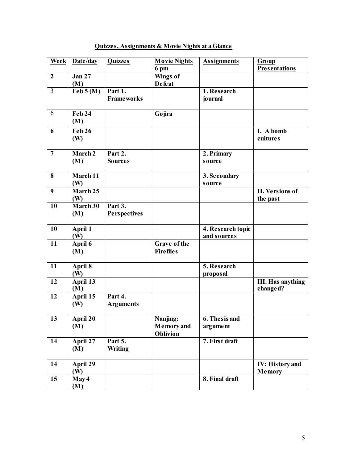| Week             | Date/day                    | <b>Quizzes</b>                   | <b>Movie Nights</b><br>6 <sub>pm</sub>           | <b>Assignments</b>               | Group<br><b>Presentations</b>        |
|------------------|-----------------------------|----------------------------------|--------------------------------------------------|----------------------------------|--------------------------------------|
| $\boldsymbol{2}$ | <b>Jan 27</b><br>(M)        |                                  | Wings of<br><b>Defeat</b>                        |                                  |                                      |
| $\overline{3}$   | $\text{Feb } 5 \text{ (M)}$ | Part 1.<br><b>Frameworks</b>     |                                                  | 1. Research<br>journal           |                                      |
| 6                | <b>Feb 24</b><br>(M)        |                                  | Gojira                                           |                                  |                                      |
| 6                | <b>Feb 26</b><br>(W)        |                                  |                                                  |                                  | I. A bomb<br>cultures                |
| $\overline{7}$   | March <sub>2</sub><br>(M)   | Part 2.<br><b>Sources</b>        |                                                  | 2. Primary<br>source             |                                      |
| 8                | March 11<br>(W)             |                                  |                                                  | 3. Secondary<br>source           |                                      |
| 9                | March 25<br>(W)             |                                  |                                                  |                                  | II. Versions of<br>the past          |
| 10               | March 30<br>(M)             | Part $3.$<br><b>Perspectives</b> |                                                  |                                  |                                      |
| 10               | April 1<br>(W)              |                                  |                                                  | 4. Research topic<br>and sources |                                      |
| 11               | April 6<br>(M)              |                                  | <b>Grave of the</b><br><b>Fire flies</b>         |                                  |                                      |
| 11               | April 8<br>(W)              |                                  |                                                  | 5. Research<br>proposal          |                                      |
| 12               | April 13<br>(M)             |                                  |                                                  |                                  | <b>III. Has anything</b><br>changed? |
| 12               | April 15<br>(W)             | Part 4.<br><b>Arguments</b>      |                                                  |                                  |                                      |
| $\overline{13}$  | April 20<br>(M)             |                                  | Nanjing:<br><b>Memory</b> and<br><b>Oblivion</b> | 6. The sis and<br>argument       |                                      |
| 14               | April $27$<br>(M)           | Part 5.<br><b>Writing</b>        |                                                  | 7. First draft                   |                                      |
| 14               | April 29<br>(W)             |                                  |                                                  |                                  | <b>IV: History and</b><br>Memory     |
| 15               | $M$ ay 4<br>(M)             |                                  |                                                  | 8. Final draft                   |                                      |

# **Quizzes, Assignments & Movie Nights at a Glance**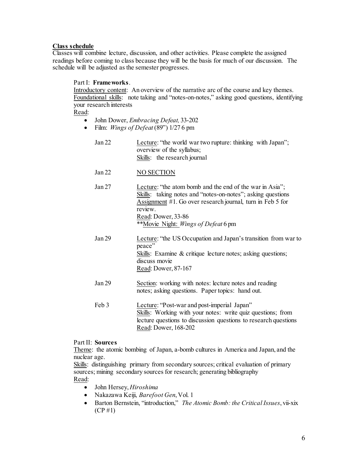# **Class schedule**

Classes will combine lecture, discussion, and other activities. Please complete the assigned readings before coming to class because they will be the basis for much of our discussion. The schedule will be adjusted as the semester progresses.

# Part I: **Frameworks**.

Introductory content: An overview of the narrative arc of the course and key themes. Foundational skills: note taking and "notes-on-notes," asking good questions, identifying your research interests

Read:

- John Dower, *Embracing Defeat,* 33-202
- Film: *Wings of Defeat* (89") 1/27 6 pm

| Jan 22            | Lecture: "the world war two rupture: thinking with Japan";<br>overview of the syllabus;<br>Skills: the research journal                                                                                                                                       |
|-------------------|---------------------------------------------------------------------------------------------------------------------------------------------------------------------------------------------------------------------------------------------------------------|
| Jan 22            | <b>NO SECTION</b>                                                                                                                                                                                                                                             |
| Jan 27            | Lecture: "the atom bomb and the end of the war in Asia";<br>Skills: taking notes and "notes-on-notes"; asking questions<br>Assignment #1. Go over research journal, turn in Feb 5 for<br>review.<br>Read: Dower, 33-86<br>**Movie Night: Wings of Defeat 6 pm |
| Jan <sub>29</sub> | Lecture: "the US Occupation and Japan's transition from war to<br>peace"<br>Skills: Examine & critique lecture notes; asking questions;<br>discuss movie<br>Read: Dower, 87-167                                                                               |
| Jan 29            | Section: working with notes: lecture notes and reading<br>notes; asking questions. Paper topics: hand out.                                                                                                                                                    |
| Feb 3             | Lecture: "Post-war and post-imperial Japan"<br>Skills: Working with your notes: write quiz questions; from<br>lecture questions to discussion questions to research questions                                                                                 |

#### Part II: **Sources**

Theme: the atomic bombing of Japan, a-bomb cultures in America and Japan, and the nuclear age.

Read: Dower, 168-202

Skills: distinguishing primary from secondary sources; critical evaluation of primary sources; mining secondary sources for research; generating bibliography Read:

- John Hersey, *Hiroshima*
- Nakazawa Keiji, *Barefoot Gen*, Vol. 1
- Barton Bernstein, "introduction," *The Atomic Bomb: the Critical Issues*, vii-xix (CP #1)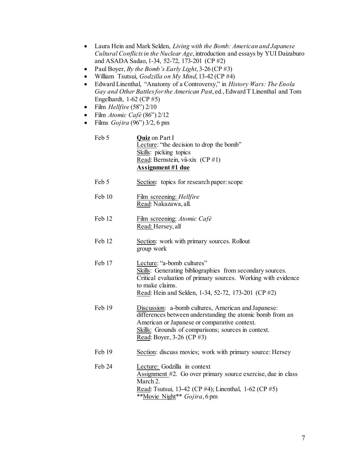- Laura Hein and Mark Selden, *Living with the Bomb: American and Japanese Cultural Conflicts in the Nuclear Age*, introduction and essays by YUI Daizaburo and ASADA Sadao, 1-34, 52-72, 173-201 (CP #2)
- Paul Boyer, *By the Bomb's Early Light*, 3-26 (CP #3)
- William Tsutsui, *Godzilla on My Mind*, 13-42 (CP #4)
- Edward Linenthal, "Anatomy of a Controversy," in *History Wars: The Enola Gay and Other Battles for the American Past*, ed., Edward T Linenthal and Tom Engelhardt, 1-62 (CP #5)
- Film *Hellfire* (58") 2/10
- Film *Atomic Café* (86") 2/12
- Films *Gojira* (96") 3/2, 6 pm

| Feb 5 | <b>Quiz</b> on Part I                    |
|-------|------------------------------------------|
|       | Lecture: "the decision to drop the bomb" |
|       | Skills: picking topics                   |
|       | Read: Bernstein, vii-xix $(CP \# 1)$     |
|       | Assignment #1 due                        |
|       |                                          |

- Feb 5 Section: topics for research paper: scope
- Feb 10 Film screening: *Hellfire* Read: Nakazawa, all.
- Feb 12 Film screening: *Atomic Café* Read: Hersey, all
- Feb 12 Section: work with primary sources. Rollout group work
- Feb 17 Lecture: "a-bomb cultures" Skills: Generating bibliographies from secondary sources. Critical evaluation of primary sources. Working with evidence to make claims. Read: Hein and Selden, 1-34, 52-72, 173-201 (CP #2)
- Feb 19 Discussion: a-bomb cultures, American and Japanese: differences between understanding the atomic bomb from an American or Japanese or comparative context. Skills: Grounds of comparisons; sources in context. Read: Boyer, 3-26 (CP #3)
- Feb 19 Section: discuss movies; work with primary source: Hersey
- Feb 24 Lecture: Godzilla in context Assignment #2. Go over primary source exercise, due in class March 2. Read: Tsutsui, 13-42 (CP #4); Linenthal, 1-62 (CP #5) \*\*Movie Night\*\* *Gojira*, 6 pm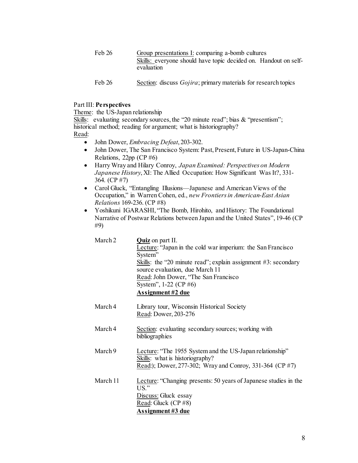| Feb 26 | Group presentations I: comparing a-bomb cultures                              |  |  |
|--------|-------------------------------------------------------------------------------|--|--|
|        | Skills: everyone should have topic decided on. Handout on self-<br>evaluation |  |  |
| Feb 26 | Section: discuss <i>Gojira</i> ; primary materials for research topics        |  |  |

#### Part III: **Perspectives**

Theme: the US-Japan relationship

Skills: evaluating secondary sources, the "20 minute read"; bias & "presentism"; historical method; reading for argument; what is historiography? Read:

- John Dower, *Embracing Defeat*, 203-302.
- John Dower, The San Francisco System: Past, Present, Future in US-Japan-China Relations, 22pp (CP #6)
- Harry Wray and Hilary Conroy, *Japan Examined: Perspectives on Modern Japanese History*, XI: The Allied Occupation: How Significant Was It?, 331- 364. (CP #7)
- Carol Gluck, "Entangling Illusions—Japanese and American Views of the Occupation," in Warren Cohen, ed., *new Frontiers in American-East Asian Relations* 169-236. (CP #8)
- Yoshikuni IGARASHI, "The Bomb, Hirohito, and History: The Foundational Narrative of Postwar Relations between Japan and the United States", 19-46 (CP #9)

| March 2 | <b>Quiz</b> on part II.                                        |
|---------|----------------------------------------------------------------|
|         | Lecture: "Japan in the cold war imperium: the San Francisco    |
|         | System"                                                        |
|         | Skills: the "20 minute read"; explain assignment #3: secondary |
|         | source evaluation, due March 11                                |
|         | Read: John Dower, "The San Francisco"                          |
|         | System", $1-22$ (CP #6)                                        |
|         | Assignment #2 due                                              |
|         |                                                                |

- March 4 Library tour, Wisconsin Historical Society Read: Dower, 203-276
- March 4 Section: evaluating secondary sources; working with bibliographies
- March 9 Lecture: "The 1955 System and the US-Japan relationship" Skills: what is historiography? Read:); Dower, 277-302; Wray and Conroy, 331-364 (CP #7)
- March 11 Lecture: "Changing presents: 50 years of Japanese studies in the US." Discuss: Gluck essay Read: Gluck (CP #8) **Assignment #3 due**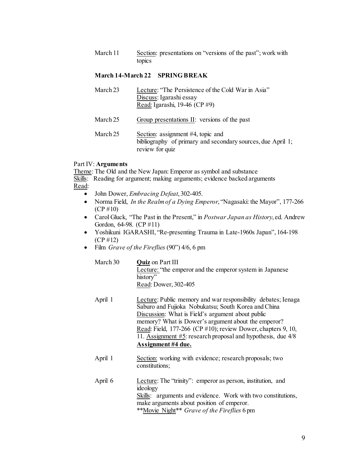March 11 Section: presentations on "versions of the past"; work with topics

#### **March 14-March 22 SPRING BREAK**

| March 23 | Lecture: "The Persistence of the Cold War in Asia"<br>Discuss: Igarashi essay<br>Read: Igarashi, 19-46 (CP #9)      |
|----------|---------------------------------------------------------------------------------------------------------------------|
| March 25 | Group presentations II: versions of the past                                                                        |
| March 25 | Section: assignment #4, topic and<br>bibliography of primary and secondary sources, due April 1;<br>review for quiz |

## Part IV: **Arguments**

Theme: The Old and the New Japan: Emperor as symbol and substance Skills: Reading for argument; making arguments; evidence backed arguments Read:

- John Dower, *Embracing Defeat*, 302-405.
- Norma Field, *In the Realm of a Dying Emperor*, "Nagasaki: the Mayor", 177-266 (CP #10)
- Carol Gluck, "The Past in the Present," in *Postwar Japan as History*, ed. Andrew Gordon, 64-98. (CP #11)
- Yoshikuni IGARASHI, "Re-presenting Trauma in Late-1960s Japan", 164-198 (CP #12)
- Film *Grave of the Fireflies* (90") 4/6, 6 pm

| March 30 | <b>Quiz</b> on Part III                                   |
|----------|-----------------------------------------------------------|
|          | Lecture: "the emperor and the emperor system in Japanese" |
|          | history"                                                  |
|          | Read: Dower, 302-405                                      |

- April 1 Lecture: Public memory and war responsibility debates; Ienaga Saburo and Fujioka Nobukatsu; South Korea and China Discussion: What is Field's argument about public memory? What is Dower's argument about the emperor? Read: Field, 177-266 (CP #10); review Dower, chapters 9, 10, 11. Assignment #5: research proposal and hypothesis, due 4/8 **Assignment #4 due.**
- April 1 Section: working with evidence; research proposals; two constitutions;
- April 6 Lecture: The "trinity": emperor as person, institution, and ideology Skills: arguments and evidence. Work with two constitutions, make arguments about position of emperor. \*\*Movie Night\*\* *Grave of the Fireflies* 6 pm